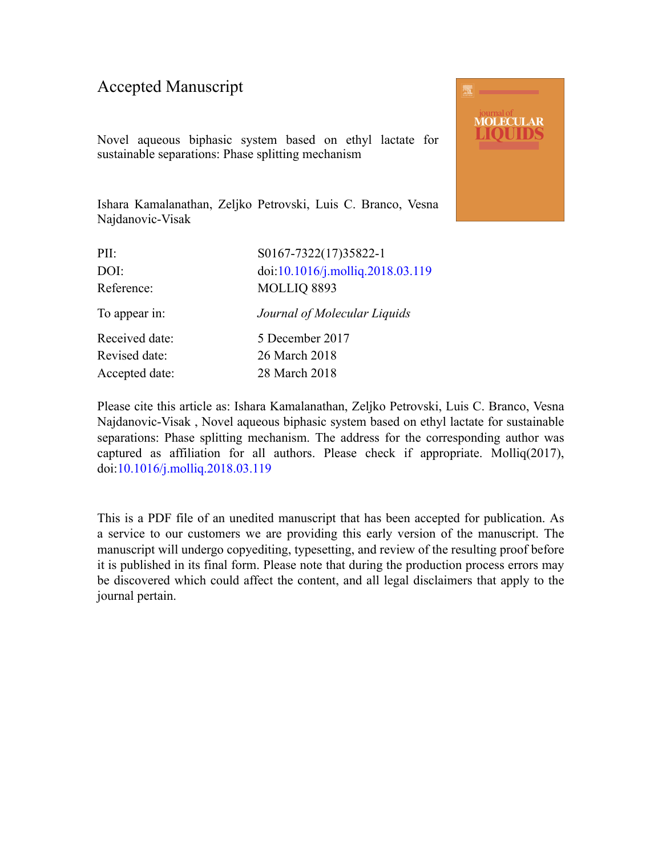### Accepted Manuscript

Novel aqueous biphasic system based on ethyl lactate for sustainable separations: Phase splitting mechanism



| PII:           | S0167-7322(17)35822-1            |
|----------------|----------------------------------|
| DOI:           | doi:10.1016/j.molliq.2018.03.119 |
| Reference:     | MOLLIQ 8893                      |
| To appear in:  | Journal of Molecular Liquids     |
| Received date: | 5 December 2017                  |
| Revised date:  | 26 March 2018                    |
| Accepted date: | 28 March 2018                    |
|                |                                  |

Please cite this article as: Ishara Kamalanathan, Zeljko Petrovski, Luis C. Branco, Vesna Najdanovic-Visak , Novel aqueous biphasic system based on ethyl lactate for sustainable separations: Phase splitting mechanism. The address for the corresponding author was captured as affiliation for all authors. Please check if appropriate. Molliq(2017), doi:[10.1016/j.molliq.2018.03.119](https://doi.org/10.1016/j.molliq.2018.03.119)

This is a PDF file of an unedited manuscript that has been accepted for publication. As a service to our customers we are providing this early version of the manuscript. The manuscript will undergo copyediting, typesetting, and review of the resulting proof before it is published in its final form. Please note that during the production process errors may be discovered which could affect the content, and all legal disclaimers that apply to the journal pertain.

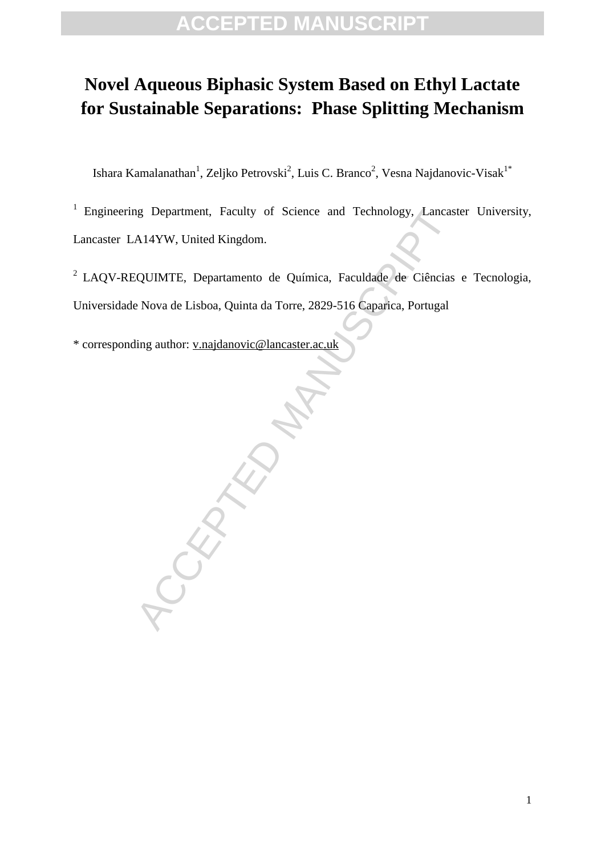## **Novel Aqueous Biphasic System Based on Ethyl Lactate for Sustainable Separations: Phase Splitting Mechanism**

Ishara Kamalanathan $^1$ , Zeljko Petrovski $^2$ , Luis C. Branco $^2$ , Vesna Najdanovic-Visak $^{1^*}$ 

<sup>1</sup> Engineering Department, Faculty of Science and Technology, Lancaster University, Lancaster LA14YW, United Kingdom.

2 LAQV-REQUIMTE, Departamento de Química, Faculdade de Ciências e Tecnologia, Universidade Nova de Lisboa, Quinta da Torre, 2829-516 Caparica, Portugal

\* corresponding author: v.najdanovic@lancaster.ac.uk

RA[NUS](mailto:v.najdanovic@lancaster.ac.uk)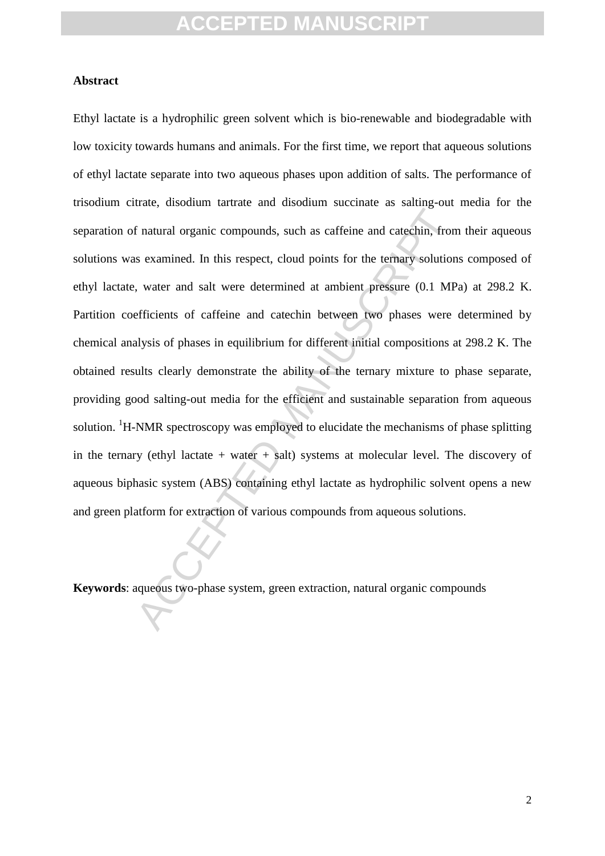#### **Abstract**

f natural organic compounds, such as caffeine and catechin, from<br>a examined. In this respect, cloud points for the ternary solution,<br>water and salt were determined at ambient pressure (0.1 MP<br>efficients of caffeine and cat Ethyl lactate is a hydrophilic green solvent which is bio-renewable and biodegradable with low toxicity towards humans and animals. For the first time, we report that aqueous solutions of ethyl lactate separate into two aqueous phases upon addition of salts. The performance of trisodium citrate, disodium tartrate and disodium succinate as salting-out media for the separation of natural organic compounds, such as caffeine and catechin, from their aqueous solutions was examined. In this respect, cloud points for the ternary solutions composed of ethyl lactate, water and salt were determined at ambient pressure (0.1 MPa) at 298.2 K. Partition coefficients of caffeine and catechin between two phases were determined by chemical analysis of phases in equilibrium for different initial compositions at 298.2 K. The obtained results clearly demonstrate the ability of the ternary mixture to phase separate, providing good salting-out media for the efficient and sustainable separation from aqueous solution. <sup>1</sup>H-NMR spectroscopy was employed to elucidate the mechanisms of phase splitting in the ternary (ethyl lactate  $+$  water  $+$  salt) systems at molecular level. The discovery of aqueous biphasic system (ABS) containing ethyl lactate as hydrophilic solvent opens a new and green platform for extraction of various compounds from aqueous solutions.

**Keywords**: aqueous two-phase system, green extraction, natural organic compounds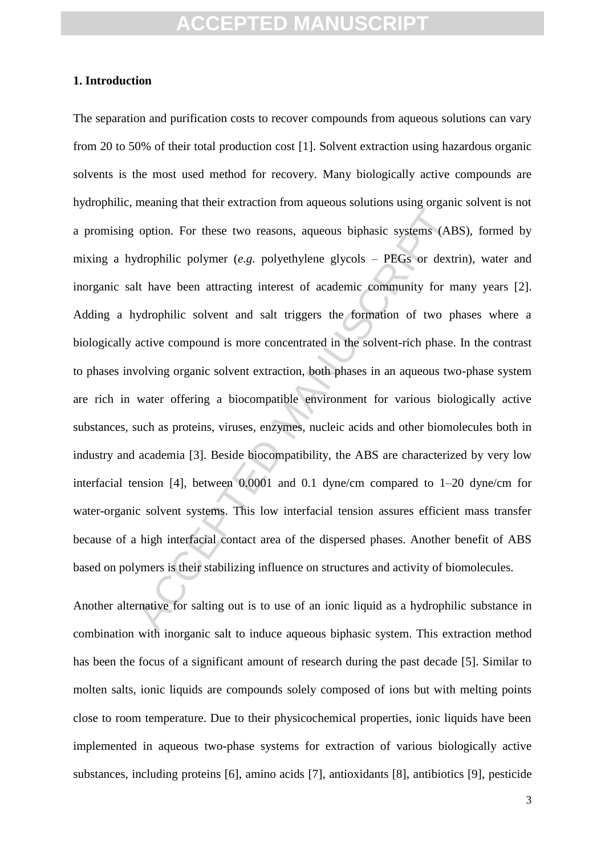#### **1. Introduction**

option. For these two reasons, aqueous biphasic systems (AB<br>
departually dependent (*e.g.* polyethylene glycols – PEGs or dextracting interest of academic community for m<br>
dependent and salt triggers the formation of two The separation and purification costs to recover compounds from aqueous solutions can vary from 20 to 50% of their total production cost [1]. Solvent extraction using hazardous organic solvents is the most used method for recovery. Many biologically active compounds are hydrophilic, meaning that their extraction from aqueous solutions using organic solvent is not a promising option. For these two reasons, aqueous biphasic systems (ABS), formed by mixing a hydrophilic polymer (*e.g.* polyethylene glycols – PEGs or dextrin), water and inorganic salt have been attracting interest of academic community for many years [2]. Adding a hydrophilic solvent and salt triggers the formation of two phases where a biologically active compound is more concentrated in the solvent-rich phase. In the contrast to phases involving organic solvent extraction, both phases in an aqueous two-phase system are rich in water offering a biocompatible environment for various biologically active substances, such as proteins, viruses, enzymes, nucleic acids and other biomolecules both in industry and academia [3]. Beside biocompatibility, the ABS are characterized by very low interfacial tension [4], between 0.0001 and 0.1 dyne/cm compared to 1–20 dyne/cm for water-organic solvent systems. This low interfacial tension assures efficient mass transfer because of a high interfacial contact area of the dispersed phases. Another benefit of ABS based on polymers is their stabilizing influence on structures and activity of biomolecules.

Another alternative for salting out is to use of an ionic liquid as a hydrophilic substance in combination with inorganic salt to induce aqueous biphasic system. This extraction method has been the focus of a significant amount of research during the past decade [5]. Similar to molten salts, ionic liquids are compounds solely composed of ions but with melting points close to room temperature. Due to their physicochemical properties, ionic liquids have been implemented in aqueous two-phase systems for extraction of various biologically active substances, including proteins [6], amino acids [7], antioxidants [8], antibiotics [9], pesticide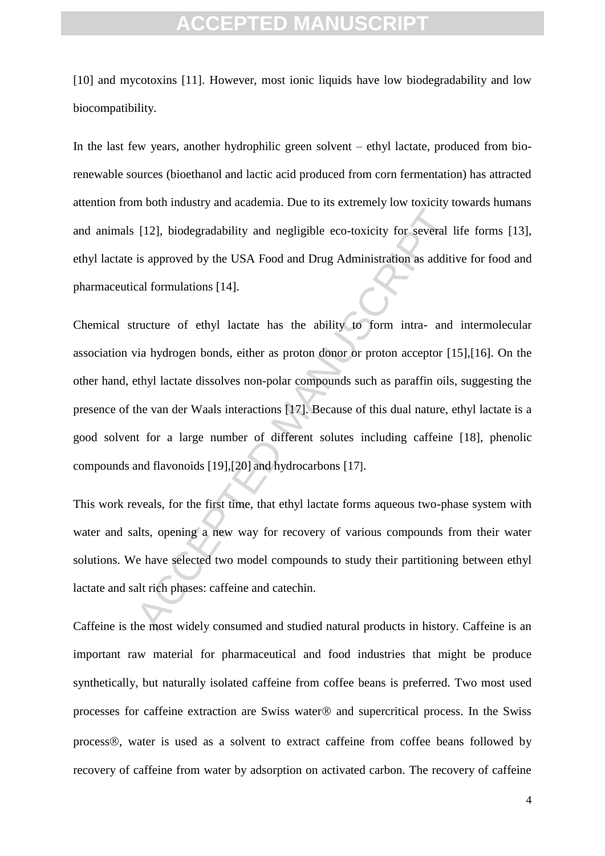[10] and mycotoxins [11]. However, most ionic liquids have low biodegradability and low biocompatibility.

In the last few years, another hydrophilic green solvent – ethyl lactate, produced from biorenewable sources (bioethanol and lactic acid produced from corn fermentation) has attracted attention from both industry and academia. Due to its extremely low toxicity towards humans and animals [12], biodegradability and negligible eco-toxicity for several life forms [13], ethyl lactate is approved by the USA Food and Drug Administration as additive for food and pharmaceutical formulations [14].

[12], biodegradability and negligible eco-toxicity for several 1<br>is approved by the USA Food and Drug Administration as additived<br>al formulations [14].<br>Tructure of ethyl lactate has the ability to form intra- and<br>in hydro Chemical structure of ethyl lactate has the ability to form intra- and intermolecular association via hydrogen bonds, either as proton donor or proton acceptor [15],[16]. On the other hand, ethyl lactate dissolves non-polar compounds such as paraffin oils, suggesting the presence of the van der Waals interactions [17]. Because of this dual nature, ethyl lactate is a good solvent for a large number of different solutes including caffeine [18], phenolic compounds and flavonoids [19],[20] and hydrocarbons [17].

This work reveals, for the first time, that ethyl lactate forms aqueous two-phase system with water and salts, opening a new way for recovery of various compounds from their water solutions. We have selected two model compounds to study their partitioning between ethyl lactate and salt rich phases: caffeine and catechin.

Caffeine is the most widely consumed and studied natural products in history. Caffeine is an important raw material for pharmaceutical and food industries that might be produce synthetically, but naturally isolated caffeine from coffee beans is preferred. Two most used processes for caffeine extraction are Swiss water  $\otimes$  and supercritical process. In the Swiss process®, water is used as a solvent to extract caffeine from coffee beans followed by recovery of caffeine from water by adsorption on activated carbon. The recovery of caffeine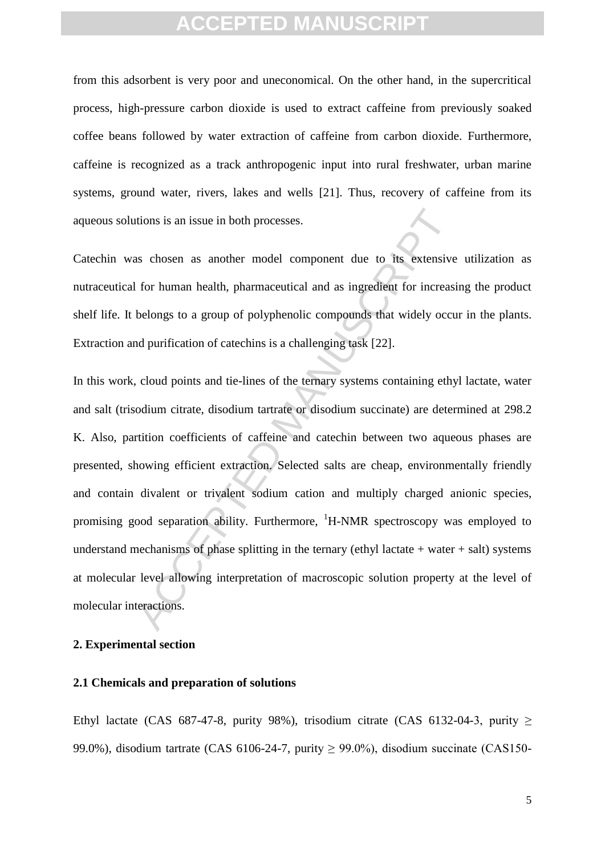from this adsorbent is very poor and uneconomical. On the other hand, in the supercritical process, high-pressure carbon dioxide is used to extract caffeine from previously soaked coffee beans followed by water extraction of caffeine from carbon dioxide. Furthermore, caffeine is recognized as a track anthropogenic input into rural freshwater, urban marine systems, ground water, rivers, lakes and wells [21]. Thus, recovery of caffeine from its aqueous solutions is an issue in both processes.

Catechin was chosen as another model component due to its extensive utilization as nutraceutical for human health, pharmaceutical and as ingredient for increasing the product shelf life. It belongs to a group of polyphenolic compounds that widely occur in the plants. Extraction and purification of catechins is a challenging task [22].

trions is an issue in both processes.<br>
As chosen as another model component due to its extensive<br>
for human health, pharmaceutical and as ingredient for increasi<br>
belongs to a group of polyphenolic compounds that widely oc In this work, cloud points and tie-lines of the ternary systems containing ethyl lactate, water and salt (trisodium citrate, disodium tartrate or disodium succinate) are determined at 298.2 K. Also, partition coefficients of caffeine and catechin between two aqueous phases are presented, showing efficient extraction. Selected salts are cheap, environmentally friendly and contain divalent or trivalent sodium cation and multiply charged anionic species, promising good separation ability. Furthermore,  ${}^{1}$ H-NMR spectroscopy was employed to understand mechanisms of phase splitting in the ternary (ethyl lactate  $+$  water  $+$  salt) systems at molecular level allowing interpretation of macroscopic solution property at the level of molecular interactions.

#### **2. Experimental section**

#### **2.1 Chemicals and preparation of solutions**

Ethyl lactate (CAS 687-47-8, purity 98%), trisodium citrate (CAS 6132-04-3, purity  $\geq$ 99.0%), disodium tartrate (CAS 6106-24-7, purity  $\geq$  99.0%), disodium succinate (CAS150-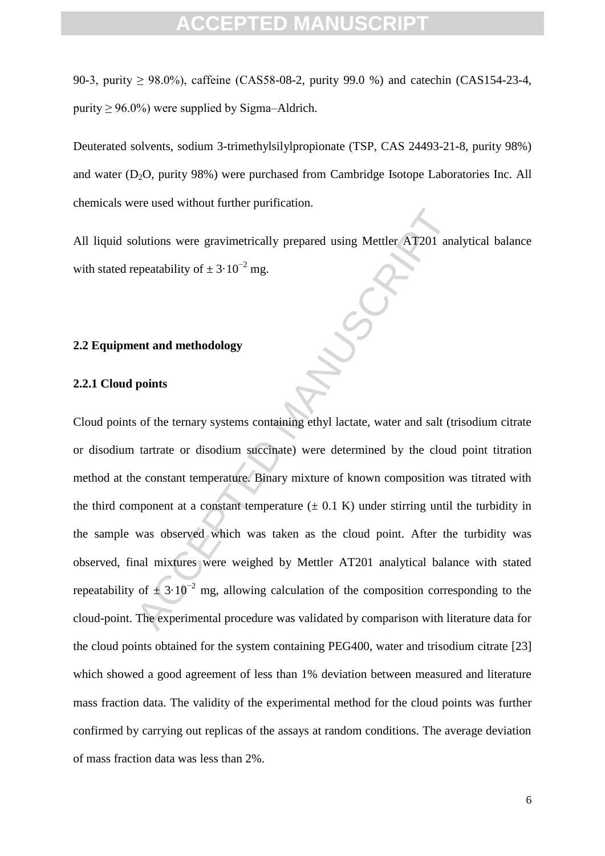90-3, purity ≥ 98.0%), caffeine (CAS58-08-2, purity 99.0 %) and catechin (CAS154-23-4, purity  $> 96.0\%$ ) were supplied by Sigma–Aldrich.

Deuterated solvents, sodium 3-trimethylsilylpropionate (TSP, CAS 24493-21-8, purity 98%) and water  $(D_2O, \text{ purity } 98\%)$  were purchased from Cambridge Isotope Laboratories Inc. All chemicals were used without further purification.

All liquid solutions were gravimetrically prepared using Mettler AT201 analytical balance with stated repeatability of  $\pm 3.10^{-2}$  mg.

#### **2.2 Equipment and methodology**

#### **2.2.1 Cloud points**

blutions were gravimetrically prepared using Mettler AT201 and<br>epeatability of  $\pm 3.10^{-2}$  mg.<br> **entrand methodology**<br> **points**<br>
so f the termary systems containing ethyl lactate, water and salt (to<br>
tartrate or disodium Cloud points of the ternary systems containing ethyl lactate, water and salt (trisodium citrate or disodium tartrate or disodium succinate) were determined by the cloud point titration method at the constant temperature. Binary mixture of known composition was titrated with the third component at a constant temperature  $(\pm 0.1 \text{ K})$  under stirring until the turbidity in the sample was observed which was taken as the cloud point. After the turbidity was observed, final mixtures were weighed by Mettler AT201 analytical balance with stated repeatability of  $\pm 3.10^{-2}$  mg, allowing calculation of the composition corresponding to the cloud-point. The experimental procedure was validated by comparison with literature data for the cloud points obtained for the system containing PEG400, water and trisodium citrate [23] which showed a good agreement of less than 1% deviation between measured and literature mass fraction data. The validity of the experimental method for the cloud points was further confirmed by carrying out replicas of the assays at random conditions. The average deviation of mass fraction data was less than 2%.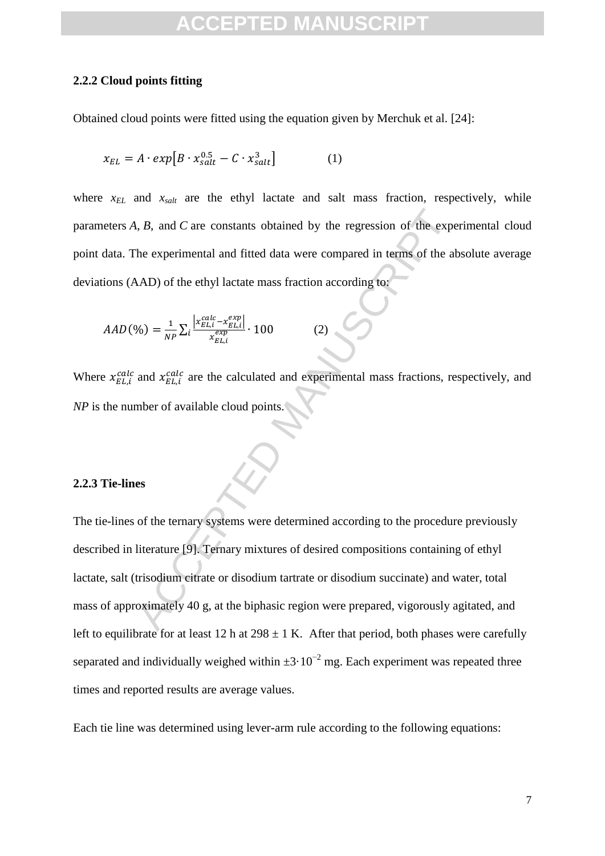#### **2.2.2 Cloud points fitting**

Obtained cloud points were fitted using the equation given by Merchuk et al. [24]:

$$
x_{EL} = A \cdot exp[B \cdot x_{salt}^{0.5} - C \cdot x_{salt}^{3}] \tag{1}
$$

where  $x_{EL}$  and  $x_{salt}$  are the ethyl lactate and salt mass fraction, respectively, while parameters *A*, *B*, and *C* are constants obtained by the regression of the experimental cloud point data. The experimental and fitted data were compared in terms of the absolute average deviations (AAD) of the ethyl lactate mass fraction according to:

$$
AAD(\%) = \frac{1}{NP} \sum_{i} \frac{\left| x_{EL,i}^{calc} - x_{EL,i}^{exp} \right|}{x_{EL,i}^{exp}} \cdot 100
$$
 (2)

Where  $x_{EL,i}^{calc}$  and  $x_{EL,i}^{calc}$  are the calculated and experimental mass fractions, respectively, and *NP* is the number of available cloud points.

#### **2.2.3 Tie-lines**

ACCEPT ACCEPT ACCEPT ACCEPT ACCEPT ACCEPT ACCEPT ACCEPT ACCEPT ACCEPT ACCEPT ACCEPT ACCEPT ACCEPT ACCEPT ACCEPT<br>
ACCEPT ACCEPT ACCEPT ACCEPT ACCEPT ACCEPT ACCEPT ACCEPT ACCEPT ACCEPT ACCEPT ACCEPT ACCEPT ACCEPT ACCEPT ACC The tie-lines of the ternary systems were determined according to the procedure previously described in literature [9]. Ternary mixtures of desired compositions containing of ethyl lactate, salt (trisodium citrate or disodium tartrate or disodium succinate) and water, total mass of approximately 40 g, at the biphasic region were prepared, vigorously agitated, and left to equilibrate for at least 12 h at  $298 \pm 1$  K. After that period, both phases were carefully separated and individually weighed within  $\pm 3.10^{-2}$  mg. Each experiment was repeated three times and reported results are average values.

Each tie line was determined using lever-arm rule according to the following equations: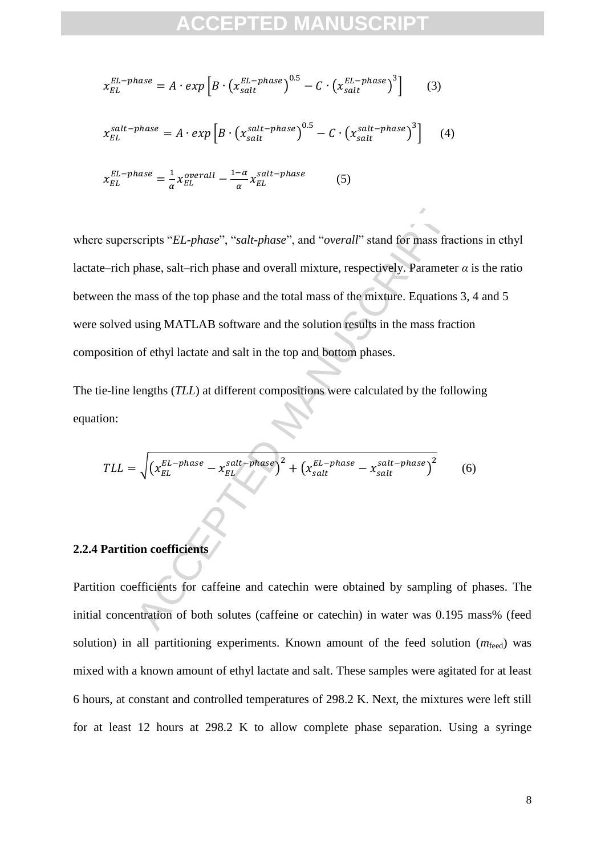$$
x_{EL}^{EL-phase} = A \cdot exp \left[ B \cdot \left( x_{salt}^{EL-phase} \right)^{0.5} - C \cdot \left( x_{salt}^{EL-phase} \right)^{3} \right] \tag{3}
$$
  

$$
x_{EL}^{salt-phase} = A \cdot exp \left[ B \cdot \left( x_{salt}^{salt-phase} \right)^{0.5} - C \cdot \left( x_{salt}^{salt-phase} \right)^{3} \right] \tag{4}
$$
  

$$
x_{EL}^{EL-phase} = \frac{1}{\alpha} x_{EL}^{overall} - \frac{1-\alpha}{\alpha} x_{EL}^{salt-phase} \tag{5}
$$

scripts "*EL-phase*", "salt-phase", and "overall" stand for mass fract<br>phase, salt-rich phase and overall mixture, respectively. Parameter<br>mass of the top phase and the total mass of the mixture. Equations<br>using MATLAB so where superscripts "*EL-phase*", "*salt-phase*", and "*overall*" stand for mass fractions in ethyl lactate–rich phase, salt–rich phase and overall mixture, respectively. Parameter  $\alpha$  is the ratio between the mass of the top phase and the total mass of the mixture. Equations 3, 4 and 5 were solved using MATLAB software and the solution results in the mass fraction composition of ethyl lactate and salt in the top and bottom phases.

The tie-line lengths (*TLL*) at different compositions were calculated by the following equation:

$$
TLL = \sqrt{\left(x_{EL}^{EL-phase} - x_{EL}^{salt-phase}\right)^2 + \left(x_{salt}^{EL-phase} - x_{salt}^{salt-phase}\right)^2} \tag{6}
$$

#### **2.2.4 Partition coefficients**

Partition coefficients for caffeine and catechin were obtained by sampling of phases. The initial concentration of both solutes (caffeine or catechin) in water was 0.195 mass% (feed solution) in all partitioning experiments. Known amount of the feed solution  $(m_{\text{feed}})$  was mixed with a known amount of ethyl lactate and salt. These samples were agitated for at least 6 hours, at constant and controlled temperatures of 298.2 K. Next, the mixtures were left still for at least 12 hours at 298.2 K to allow complete phase separation. Using a syringe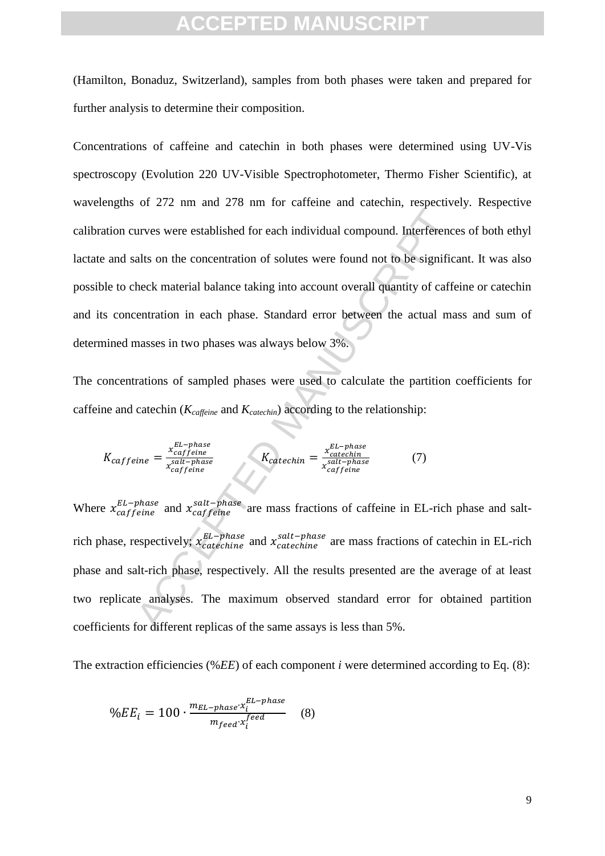(Hamilton, Bonaduz, Switzerland), samples from both phases were taken and prepared for further analysis to determine their composition.

urves were established for each individual compound. Interference<br>alts on the concentration of solutes were found not to be signific-<br>heck material balance taking into account overall quantity of caffe<br>entration in each p Concentrations of caffeine and catechin in both phases were determined using UV-Vis spectroscopy (Evolution 220 UV-Visible Spectrophotometer, Thermo Fisher Scientific), at wavelengths of 272 nm and 278 nm for caffeine and catechin, respectively. Respective calibration curves were established for each individual compound. Interferences of both ethyl lactate and salts on the concentration of solutes were found not to be significant. It was also possible to check material balance taking into account overall quantity of caffeine or catechin and its concentration in each phase. Standard error between the actual mass and sum of determined masses in two phases was always below 3%.

The concentrations of sampled phases were used to calculate the partition coefficients for caffeine and catechin (*Kcaffeine* and *Kcatechin*) according to the relationship:

$$
K_{caffeine} = \frac{x_{caffeine}^{EL-phase}}{x_{caffeine}^{sat-phase}}
$$
 
$$
K_{catechin} = \frac{x_{catechin}^{EL-phase}}{x_{caffeine}^{sat-phase}}
$$
 (7)

Where  $x_{capfeline}^{EL-phase}$  and  $x_{capfeline}^{salt-phase}$  are mass fractions of caffeine in EL-rich phase and saltrich phase, respectively;  $x_{catechine}^{EL-phase}$  and  $x_{catechine}^{salt-phase}$  are mass fractions of catechin in EL-rich phase and salt-rich phase, respectively. All the results presented are the average of at least two replicate analyses. The maximum observed standard error for obtained partition coefficients for different replicas of the same assays is less than 5%.

The extraction efficiencies (%*EE*) of each component *i* were determined according to Eq. (8):

$$
\%EE_i = 100 \cdot \frac{m_{EL-phase} \cdot x_i^{EL-phase}}{m_{feed} \cdot x_i^{feed}}
$$
 (8)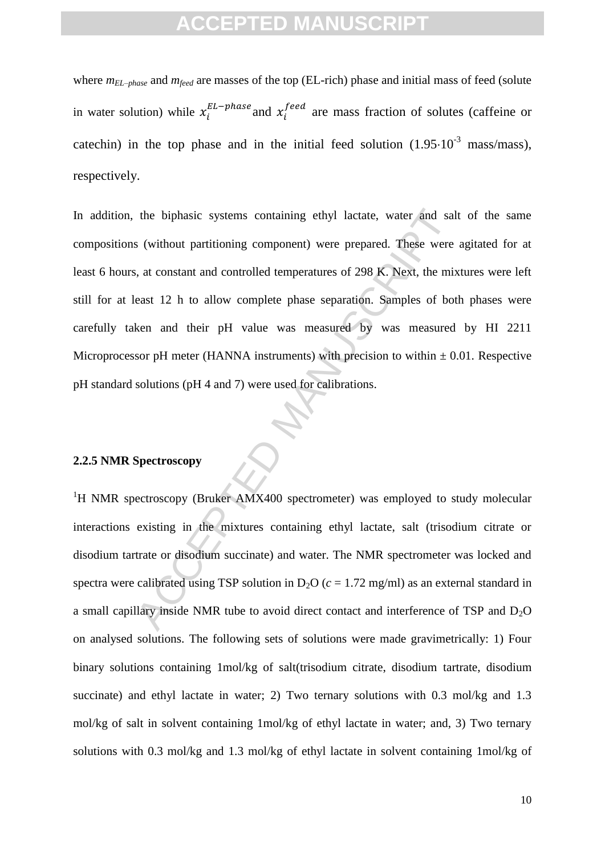where *mEL–phase* and *mfeed* are masses of the top (EL-rich) phase and initial mass of feed (solute in water solution) while  $x_i^{EL-phase}$  and  $x_i^{feed}$  are mass fraction of solutes (caffeine or catechin) in the top phase and in the initial feed solution  $(1.95 \cdot 10^{-3} \text{ mass/mass})$ , respectively.

the biphasic systems containing ethyl lactate, water and sals<br>
s (without partitioning component) were prepared. These were<br>
s, at constant and controlled temperatures of 298 K. Next, the mix-<br>
east 12 h to allow complete In addition, the biphasic systems containing ethyl lactate, water and salt of the same compositions (without partitioning component) were prepared. These were agitated for at least 6 hours, at constant and controlled temperatures of 298 K. Next, the mixtures were left still for at least 12 h to allow complete phase separation. Samples of both phases were carefully taken and their pH value was measured by was measured by HI 2211 Microprocessor pH meter (HANNA instruments) with precision to within  $\pm$  0.01. Respective pH standard solutions (pH 4 and 7) were used for calibrations.

#### **2.2.5 NMR Spectroscopy**

<sup>1</sup>H NMR spectroscopy (Bruker AMX400 spectrometer) was employed to study molecular interactions existing in the mixtures containing ethyl lactate, salt (trisodium citrate or disodium tartrate or disodium succinate) and water. The NMR spectrometer was locked and spectra were calibrated using TSP solution in  $D_2O$  ( $c = 1.72$  mg/ml) as an external standard in a small capillary inside NMR tube to avoid direct contact and interference of TSP and  $D_2O$ on analysed solutions. The following sets of solutions were made gravimetrically: 1) Four binary solutions containing 1mol/kg of salt(trisodium citrate, disodium tartrate, disodium succinate) and ethyl lactate in water; 2) Two ternary solutions with 0.3 mol/kg and 1.3 mol/kg of salt in solvent containing 1mol/kg of ethyl lactate in water; and, 3) Two ternary solutions with 0.3 mol/kg and 1.3 mol/kg of ethyl lactate in solvent containing 1mol/kg of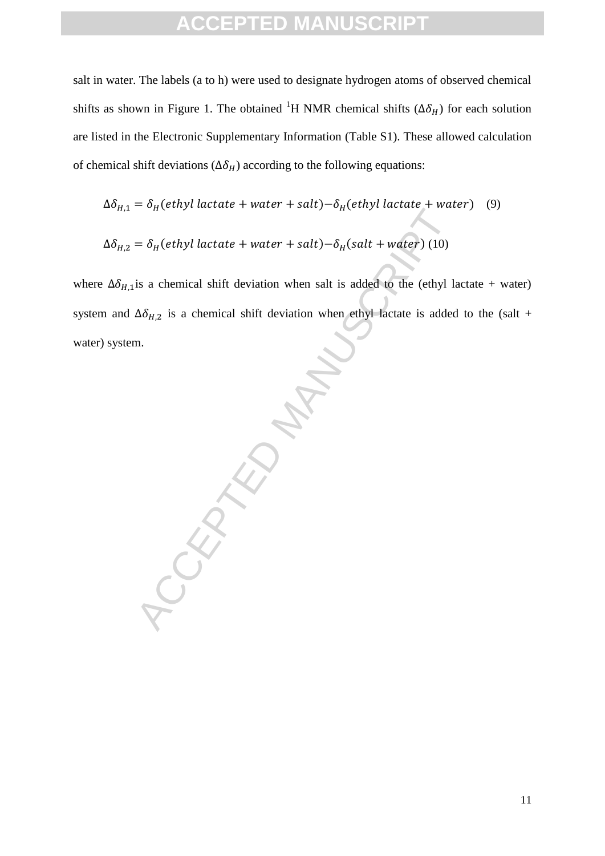salt in water. The labels (a to h) were used to designate hydrogen atoms of observed chemical shifts as shown in Figure 1. The obtained <sup>1</sup>H NMR chemical shifts ( $\Delta \delta_H$ ) for each solution are listed in the Electronic Supplementary Information (Table S1). These allowed calculation of chemical shift deviations ( $\Delta \delta_H$ ) according to the following equations:

$$
\Delta \delta_{H,1} = \delta_H(ethyl \, \text{lactate} + \text{water} + \text{salt}) - \delta_H(ethyl \, \text{lactate} + \text{water}) \quad (9)
$$

$$
\Delta \delta_{H,2} = \delta_H(ethyl \; lactate + water + salt) - \delta_H(salt + water) \; (10)
$$

where  $\Delta\delta_{H,1}$  is a chemical shift deviation when salt is added to the (ethyl lactate + water) system and  $\Delta \delta_{H,2}$  is a chemical shift deviation when ethyl lactate is added to the (salt + water) system.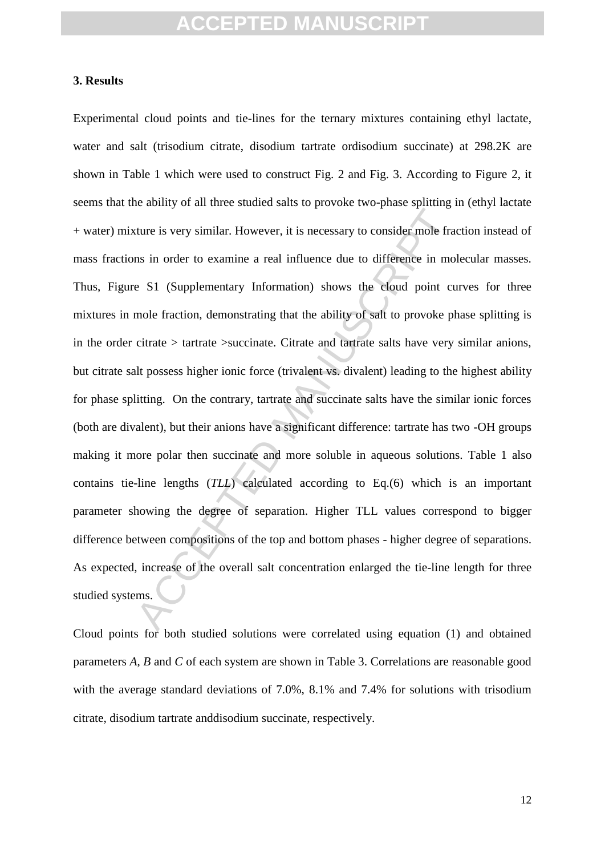#### **3. Results**

The is very similar. However, it is necessary to consider mole frame<br>ans in order to examine a real influence due to difference in mo<br>e S1 (Supplementary Information) shows the cloud point cu<br>mole fraction, demonstrating t Experimental cloud points and tie-lines for the ternary mixtures containing ethyl lactate, water and salt (trisodium citrate, disodium tartrate ordisodium succinate) at 298.2K are shown in Table 1 which were used to construct Fig. 2 and Fig. 3. According to Figure 2, it seems that the ability of all three studied salts to provoke two-phase splitting in (ethyl lactate + water) mixture is very similar. However, it is necessary to consider mole fraction instead of mass fractions in order to examine a real influence due to difference in molecular masses. Thus, Figure S1 (Supplementary Information) shows the cloud point curves for three mixtures in mole fraction, demonstrating that the ability of salt to provoke phase splitting is in the order citrate > tartrate >succinate. Citrate and tartrate salts have very similar anions, but citrate salt possess higher ionic force (trivalent vs. divalent) leading to the highest ability for phase splitting. On the contrary, tartrate and succinate salts have the similar ionic forces (both are divalent), but their anions have a significant difference: tartrate has two -OH groups making it more polar then succinate and more soluble in aqueous solutions. Table 1 also contains tie-line lengths (*TLL*) calculated according to Eq.(6) which is an important parameter showing the degree of separation. Higher TLL values correspond to bigger difference between compositions of the top and bottom phases - higher degree of separations. As expected, increase of the overall salt concentration enlarged the tie-line length for three studied systems.

Cloud points for both studied solutions were correlated using equation (1) and obtained parameters *A*, *B* and *C* of each system are shown in Table 3. Correlations are reasonable good with the average standard deviations of 7.0%, 8.1% and 7.4% for solutions with trisodium citrate, disodium tartrate anddisodium succinate, respectively.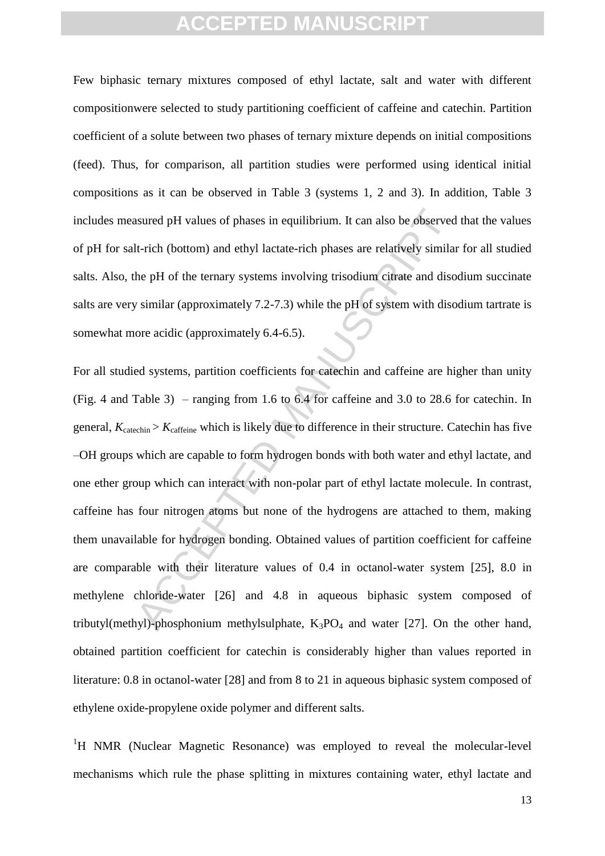Few biphasic ternary mixtures composed of ethyl lactate, salt and water with different compositionwere selected to study partitioning coefficient of caffeine and catechin. Partition coefficient of a solute between two phases of ternary mixture depends on initial compositions (feed). Thus, for comparison, all partition studies were performed using identical initial compositions as it can be observed in Table 3 (systems 1, 2 and 3). In addition, Table 3 includes measured pH values of phases in equilibrium. It can also be observed that the values of pH for salt-rich (bottom) and ethyl lactate-rich phases are relatively similar for all studied salts. Also, the pH of the ternary systems involving trisodium citrate and disodium succinate salts are very similar (approximately 7.2-7.3) while the pH of system with disodium tartrate is somewhat more acidic (approximately 6.4-6.5).

asured pH values of phases in equilibrium. It can also be observed<br>
It-rich (bottom) and ethyl lactate-rich phases are relatively similar<br>
the pH of the ternary systems involving trisodium citrate and diso<br>
v similar (app For all studied systems, partition coefficients for catechin and caffeine are higher than unity (Fig. 4 and Table 3) – ranging from 1.6 to 6.4 for caffeine and 3.0 to 28.6 for catechin. In general,  $K_{\text{catechin}} > K_{\text{caffeine}}$  which is likely due to difference in their structure. Catechin has five –OH groups which are capable to form hydrogen bonds with both water and ethyl lactate, and one ether group which can interact with non-polar part of ethyl lactate molecule. In contrast, caffeine has four nitrogen atoms but none of the hydrogens are attached to them, making them unavailable for hydrogen bonding. Obtained values of partition coefficient for caffeine are comparable with their literature values of 0.4 in octanol-water system [25], 8.0 in methylene chloride-water [26] and 4.8 in aqueous biphasic system composed of tributyl(methyl)-phosphonium methylsulphate,  $K_3PO_4$  and water [27]. On the other hand, obtained partition coefficient for catechin is considerably higher than values reported in literature: 0.8 in octanol-water [28] and from 8 to 21 in aqueous biphasic system composed of ethylene oxide-propylene oxide polymer and different salts.

<sup>1</sup>H NMR (Nuclear Magnetic Resonance) was employed to reveal the molecular-level mechanisms which rule the phase splitting in mixtures containing water, ethyl lactate and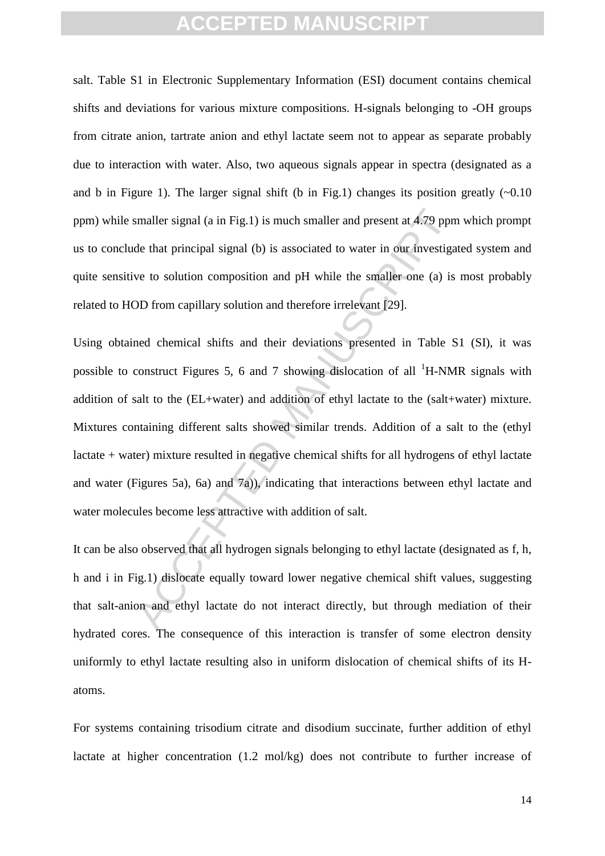salt. Table S1 in Electronic Supplementary Information (ESI) document contains chemical shifts and deviations for various mixture compositions. H-signals belonging to -OH groups from citrate anion, tartrate anion and ethyl lactate seem not to appear as separate probably due to interaction with water. Also, two aqueous signals appear in spectra (designated as a and b in Figure 1). The larger signal shift (b in Fig.1) changes its position greatly  $(\sim 0.10$ ppm) while smaller signal (a in Fig.1) is much smaller and present at 4.79 ppm which prompt us to conclude that principal signal (b) is associated to water in our investigated system and quite sensitive to solution composition and pH while the smaller one (a) is most probably related to HOD from capillary solution and therefore irrelevant [29].

smaller signal (a in Fig.1) is much smaller and present at 4.79 ppm<br>de that principal signal (b) is associated to water in our investiga<br>we to solution composition and pH while the smaller one (a) is<br>DD from capillary sol Using obtained chemical shifts and their deviations presented in Table S1 (SI), it was possible to construct Figures 5, 6 and 7 showing dislocation of all  $^1$ H-NMR signals with addition of salt to the (EL+water) and addition of ethyl lactate to the (salt+water) mixture. Mixtures containing different salts showed similar trends. Addition of a salt to the (ethyl lactate + water) mixture resulted in negative chemical shifts for all hydrogens of ethyl lactate and water (Figures 5a), 6a) and 7a)), indicating that interactions between ethyl lactate and water molecules become less attractive with addition of salt.

It can be also observed that all hydrogen signals belonging to ethyl lactate (designated as f, h, h and i in Fig.1) dislocate equally toward lower negative chemical shift values, suggesting that salt-anion and ethyl lactate do not interact directly, but through mediation of their hydrated cores. The consequence of this interaction is transfer of some electron density uniformly to ethyl lactate resulting also in uniform dislocation of chemical shifts of its Hatoms.

For systems containing trisodium citrate and disodium succinate, further addition of ethyl lactate at higher concentration (1.2 mol/kg) does not contribute to further increase of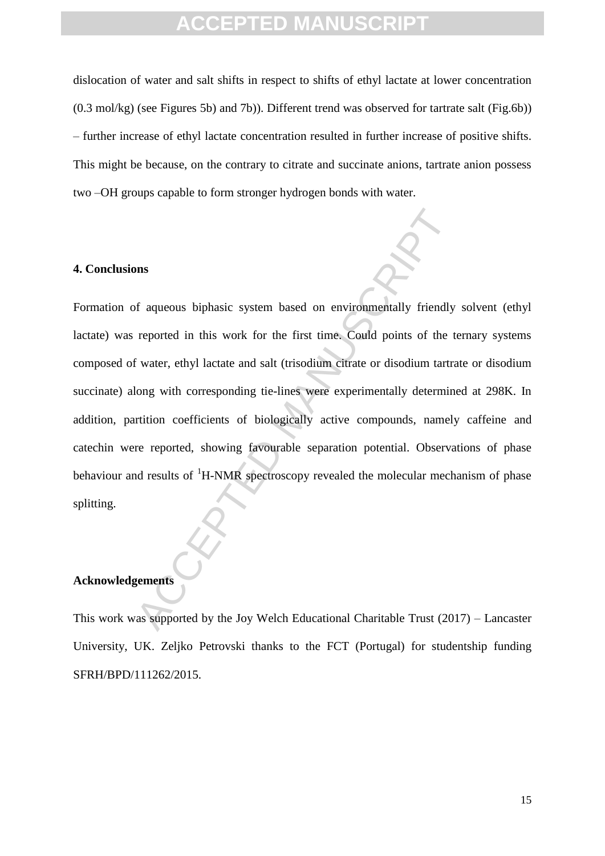dislocation of water and salt shifts in respect to shifts of ethyl lactate at lower concentration (0.3 mol/kg) (see Figures 5b) and 7b)). Different trend was observed for tartrate salt (Fig.6b)) – further increase of ethyl lactate concentration resulted in further increase of positive shifts. This might be because, on the contrary to citrate and succinate anions, tartrate anion possess two –OH groups capable to form stronger hydrogen bonds with water.

#### **4. Conclusions**

The system based on environmentally friendly<br>reported in this work for the first time. Could points of the t<br>f water, ethyl lactate and salt (trisodium citrate or disodium tartralong<br>with corresponding tie-lines were exper Formation of aqueous biphasic system based on environmentally friendly solvent (ethyl lactate) was reported in this work for the first time. Could points of the ternary systems composed of water, ethyl lactate and salt (trisodium citrate or disodium tartrate or disodium succinate) along with corresponding tie-lines were experimentally determined at 298K. In addition, partition coefficients of biologically active compounds, namely caffeine and catechin were reported, showing favourable separation potential. Observations of phase behaviour and results of  ${}^{1}$ H-NMR spectroscopy revealed the molecular mechanism of phase splitting.

#### **Acknowledgements**

This work was supported by the Joy Welch Educational Charitable Trust (2017) – Lancaster University, UK. Zeljko Petrovski thanks to the FCT (Portugal) for studentship funding SFRH/BPD/111262/2015.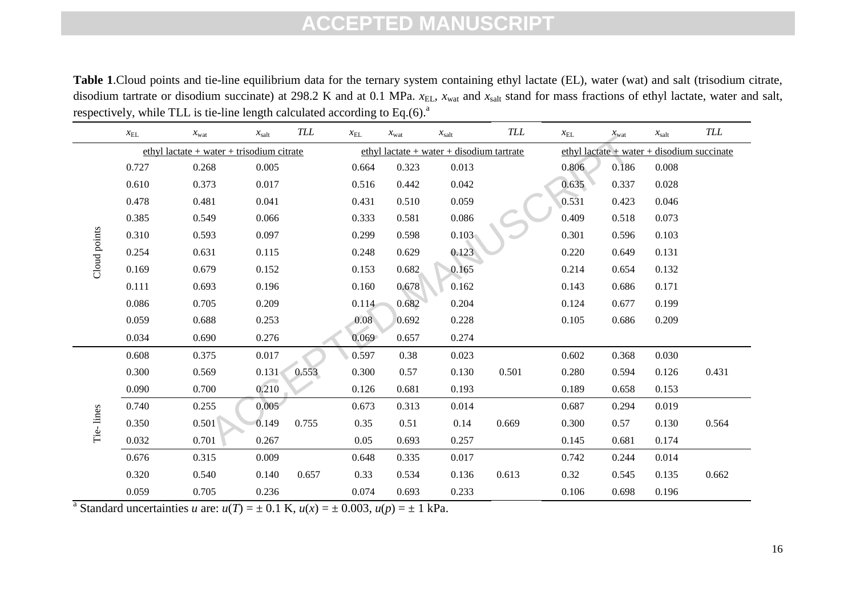**Table 1**.Cloud points and tie-line equilibrium data for the ternary system containing ethyl lactate (EL), water (wat) and salt (trisodium citrate, disodium tartrate or disodium succinate) at 298.2 K and at 0.1 MPa.  $x_{EL}$ ,  $x_{wat}$  and  $x_{salt}$  stand for mass fractions of ethyl lactate, water and salt, respectively, while TLL is tie-line length calculated according to Eq.(6).<sup>a</sup>

|              | $x_{\text{EL}}$                                                                        | $x_{\text{wat}}$ | $x_{\text{salt}}$ | <b>TLL</b> | $x_{\rm EL}$ | $x_{\text{wat}}$ | $x_{\text{salt}}$ | <b>TLL</b> | $x_{\rm EL}$ | $x_{\text{wat}}$                               | $x_{\text{salt}}$ | <b>TLL</b> |  |
|--------------|----------------------------------------------------------------------------------------|------------------|-------------------|------------|--------------|------------------|-------------------|------------|--------------|------------------------------------------------|-------------------|------------|--|
|              | ethyl lactate + water + trisodium citrate<br>ethyl lactate + water + disodium tartrate |                  |                   |            |              |                  |                   |            |              | ethyl lactate $+$ water $+$ disodium succinate |                   |            |  |
|              | 0.727                                                                                  | 0.268            | 0.005             |            | 0.664        | 0.323            | 0.013             |            | 0.806        | 0.186                                          | 0.008             |            |  |
|              | 0.610                                                                                  | 0.373            | 0.017             |            | 0.516        | 0.442            | 0.042             |            | 0.635        | 0.337                                          | 0.028             |            |  |
|              | 0.478                                                                                  | 0.481            | 0.041             |            | 0.431        | 0.510            | 0.059             |            | 0.531        | 0.423                                          | 0.046             |            |  |
|              | 0.385                                                                                  | 0.549            | 0.066             |            | 0.333        | 0.581            | 0.086             |            | 0.409        | 0.518                                          | 0.073             |            |  |
|              | 0.310                                                                                  | 0.593            | 0.097             |            | 0.299        | 0.598            | 0.103             |            | 0.301        | 0.596                                          | 0.103             |            |  |
|              | 0.254                                                                                  | 0.631            | 0.115             |            | 0.248        | 0.629            | 0.123             |            | 0.220        | 0.649                                          | 0.131             |            |  |
| Cloud points | 0.169                                                                                  | 0.679            | 0.152             |            | 0.153        | 0.682            | 0.165             |            | 0.214        | 0.654                                          | 0.132             |            |  |
|              | 0.111                                                                                  | 0.693            | 0.196             |            | 0.160        | 0.678            | 0.162             |            | 0.143        | 0.686                                          | 0.171             |            |  |
|              | 0.086                                                                                  | 0.705            | 0.209             |            | 0.114        | 0.682            | 0.204             |            | 0.124        | 0.677                                          | 0.199             |            |  |
|              | 0.059                                                                                  | 0.688            | 0.253             |            | 0.08         | 0.692            | 0.228             |            | 0.105        | 0.686                                          | 0.209             |            |  |
|              | 0.034                                                                                  | 0.690            | 0.276             |            | 0.069        | 0.657            | 0.274             |            |              |                                                |                   |            |  |
|              | 0.608                                                                                  | 0.375            | 0.017             |            | 0.597        | 0.38             | 0.023             |            | 0.602        | 0.368                                          | 0.030             |            |  |
|              | 0.300                                                                                  | 0.569            | 0.131             | 0.553      | 0.300        | 0.57             | 0.130             | 0.501      | 0.280        | 0.594                                          | 0.126             | 0.431      |  |
|              | 0.090                                                                                  | 0.700            | 0.210             |            | 0.126        | 0.681            | 0.193             |            | 0.189        | 0.658                                          | 0.153             |            |  |
|              | 0.740                                                                                  | 0.255            | 0.005             |            | 0.673        | 0.313            | 0.014             |            | 0.687        | 0.294                                          | 0.019             |            |  |
| Tie-lines    | 0.350                                                                                  | 0.501            | 0.149             | 0.755      | 0.35         | 0.51             | 0.14              | 0.669      | 0.300        | 0.57                                           | 0.130             | 0.564      |  |
|              | 0.032                                                                                  | 0.701            | 0.267             |            | 0.05         | 0.693            | 0.257             |            | 0.145        | 0.681                                          | 0.174             |            |  |
|              | 0.676                                                                                  | 0.315            | 0.009             |            | 0.648        | 0.335            | 0.017             |            | 0.742        | 0.244                                          | 0.014             |            |  |
|              | 0.320                                                                                  | 0.540            | 0.140             | 0.657      | 0.33         | 0.534            | 0.136             | 0.613      | 0.32         | 0.545                                          | 0.135             | 0.662      |  |
|              | 0.059                                                                                  | 0.705            | 0.236             |            | 0.074        | 0.693            | 0.233             |            | 0.106        | 0.698                                          | 0.196             |            |  |

<sup>a</sup> Standard uncertainties *u* are:  $u(T) = \pm 0.1$  K,  $u(x) = \pm 0.003$ ,  $u(p) = \pm 1$  kPa.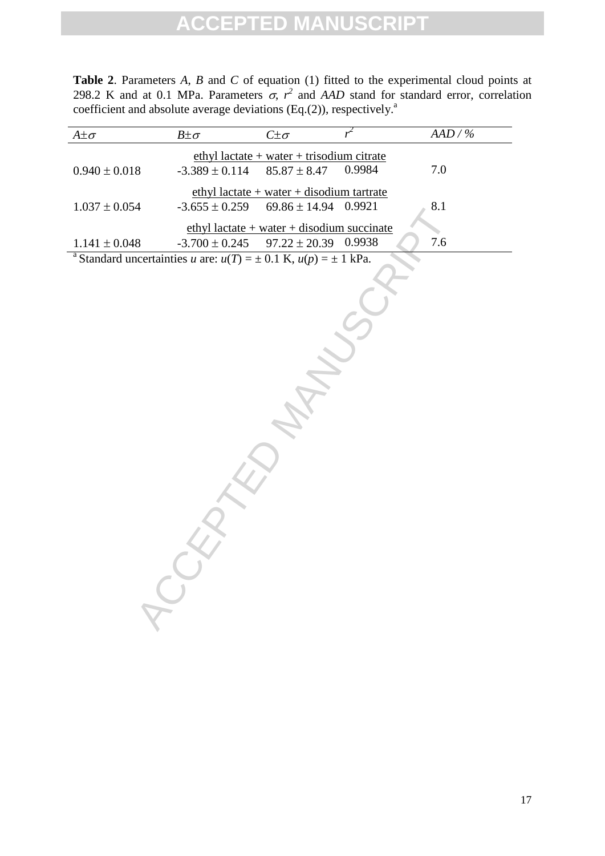**Table 2**. Parameters *A*, *B* and *C* of equation (1) fitted to the experimental cloud points at 298.2 K and at 0.1 MPa. Parameters  $\sigma$ ,  $r^2$  and *AAD* stand for standard error, correlation coefficient and absolute average deviations (Eq.(2)), respectively.<sup>8</sup>

| $A \pm \sigma$                                                                     | $B \pm \sigma$     | $C\pm\sigma$                                                      | $r^2$  | AAD / % |
|------------------------------------------------------------------------------------|--------------------|-------------------------------------------------------------------|--------|---------|
|                                                                                    |                    | $ethyl$ lactate + water + trisodium citrate                       |        |         |
| $0.940 \pm 0.018$                                                                  | $-3.389 \pm 0.114$ | $85.87 \pm 8.47$                                                  | 0.9984 | $7.0\,$ |
|                                                                                    |                    | ethyl lactate + water + disodium tartrate                         |        | 8.1     |
| $1.037 \pm 0.054$                                                                  | $-3.655 \pm 0.259$ | $69.86 \pm 14.94$                                                 | 0.9921 |         |
| $1.141\pm0.048$                                                                    | $-3.700 \pm 0.245$ | $ethyl$ lactate + water + disodium succinate<br>$97.22 \pm 20.39$ | 0.9938 | 7.6     |
| <sup>a</sup> Standard uncertainties u are: $u(T) = \pm 0.1$ K, $u(p) = \pm 1$ kPa. |                    |                                                                   |        |         |
|                                                                                    |                    |                                                                   |        |         |
|                                                                                    |                    |                                                                   |        |         |
|                                                                                    |                    |                                                                   |        |         |
|                                                                                    |                    |                                                                   |        |         |
|                                                                                    |                    |                                                                   |        |         |
|                                                                                    |                    |                                                                   |        |         |
|                                                                                    |                    |                                                                   |        |         |
|                                                                                    |                    |                                                                   |        |         |
|                                                                                    |                    |                                                                   |        |         |
|                                                                                    |                    |                                                                   |        |         |
|                                                                                    |                    |                                                                   |        |         |
|                                                                                    |                    |                                                                   |        |         |
|                                                                                    |                    |                                                                   |        |         |
|                                                                                    |                    |                                                                   |        |         |
|                                                                                    |                    |                                                                   |        |         |
|                                                                                    |                    |                                                                   |        |         |
|                                                                                    |                    |                                                                   |        |         |
|                                                                                    |                    |                                                                   |        |         |
|                                                                                    |                    |                                                                   |        |         |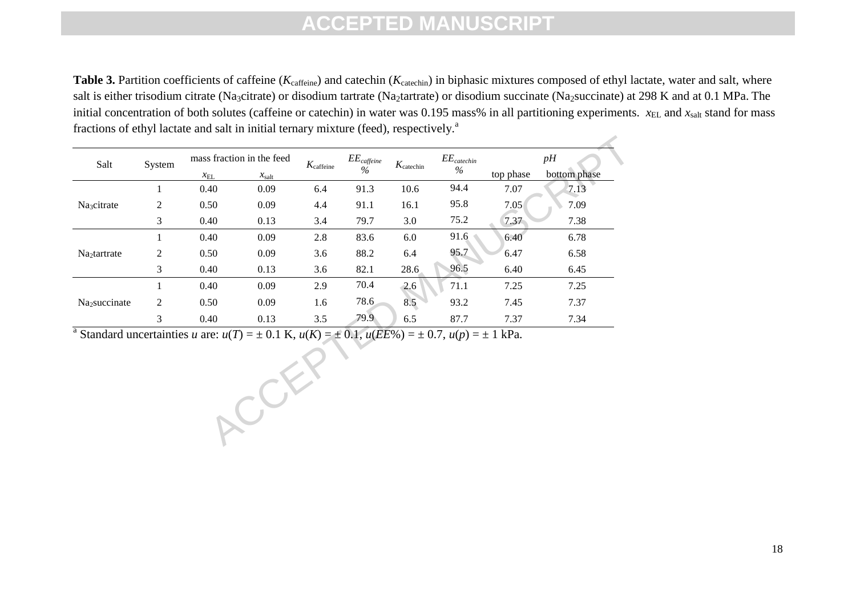**Table 3.** Partition coefficients of caffeine (*K*<sub>caffeine</sub>) and catechin (*K*<sub>catechin</sub>) in biphasic mixtures composed of ethyl lactate, water and salt, where salt is either trisodium citrate (Na<sub>3</sub>citrate) or disodium tartrate (Na<sub>2</sub>tartrate) or disodium succinate (Na<sub>2</sub>succinate) at 298 K and at 0.1 MPa. The initial concentration of both solutes (caffeine or catechin) in water was  $0.195$  mass% in all partitioning experiments.  $x_{EL}$  and  $x_{salt}$  stand for mass fractions of ethyl lactate and salt in initial ternary mixture (feed), respectively.<sup>a</sup>

| Salt                      | System | mass fraction in the feed |                   | $K_{\text{caffeine}}$ | $EE_{\mathit{cdfieine}}$ | $K_{\text{catechin}}$ | $EE_{\mathit{catechin}}$ | pH        |              |
|---------------------------|--------|---------------------------|-------------------|-----------------------|--------------------------|-----------------------|--------------------------|-----------|--------------|
|                           |        | $x_{\text{EL}}$           | $x_{\text{salt}}$ |                       | $\%$                     |                       | $\%$                     | top phase | bottom phase |
| Na <sub>3</sub> citrate   |        | 0.40                      | 0.09              | 6.4                   | 91.3                     | 10.6                  | 94.4                     | 7.07      | 7.13         |
|                           | 2      | 0.50                      | 0.09              | 4.4                   | 91.1                     | 16.1                  | 95.8                     | 7.05      | 7.09         |
|                           | 3      | 0.40                      | 0.13              | 3.4                   | 79.7                     | 3.0                   | 75.2                     | 7.37      | 7.38         |
| Na <sub>2</sub> tartrate  |        | 0.40                      | 0.09              | 2.8                   | 83.6                     | 6.0                   | 91.6                     | 6.40      | 6.78         |
|                           | 2      | 0.50                      | 0.09              | 3.6                   | 88.2                     | 6.4                   | 95.7                     | 6.47      | 6.58         |
|                           | 3      | 0.40                      | 0.13              | 3.6                   | 82.1                     | 28.6                  | 96.5                     | 6.40      | 6.45         |
| Na <sub>2</sub> succinate |        | 0.40                      | 0.09              | 2.9                   | 70.4                     | 2.6                   | 71.1                     | 7.25      | 7.25         |
|                           | 2      | 0.50                      | 0.09              | 1.6                   | 78.6                     | 8.5                   | 93.2                     | 7.45      | 7.37         |
|                           | 3      | 0.40                      | 0.13              | 3.5                   | 79.9                     | 6.5                   | 87.7                     | 7.37      | 7.34         |

ACCEPT <sup>a</sup> Standard uncertainties *u* are:  $u(T) = \pm 0.1$  K,  $u(K) = \pm 0.1$ ,  $u(EE\%) = \pm 0.7$ ,  $u(p) = \pm 1$  kPa.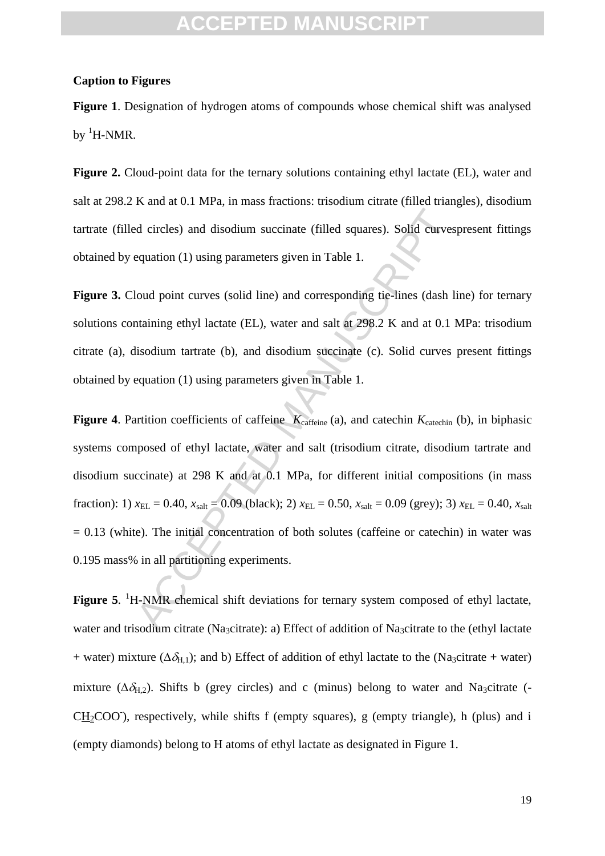#### **Caption to Figures**

**Figure 1**. Designation of hydrogen atoms of compounds whose chemical shift was analysed by  ${}^{1}$ H-NMR.

**Figure 2.** Cloud-point data for the ternary solutions containing ethyl lactate (EL), water and salt at 298.2 K and at 0.1 MPa, in mass fractions: trisodium citrate (filled triangles), disodium tartrate (filled circles) and disodium succinate (filled squares). Solid curvespresent fittings obtained by equation (1) using parameters given in Table 1.

Figure 3. Cloud point curves (solid line) and corresponding tie-lines (dash line) for ternary solutions containing ethyl lactate (EL), water and salt at 298.2 K and at 0.1 MPa: trisodium citrate (a), disodium tartrate (b), and disodium succinate (c). Solid curves present fittings obtained by equation (1) using parameters given in Table 1.

d circles) and disodium succinate (filled squares). Solid curves<br>equation (1) using parameters given in Table 1.<br>loud point curves (solid line) and corresponding tic-lines (dash lin<br>taining ethyl lactate (EL), water and s **Figure 4.** Partition coefficients of caffeine  $K_{\text{caffeine}}(a)$ , and catechin  $K_{\text{catechin}}(b)$ , in biphasic systems composed of ethyl lactate, water and salt (trisodium citrate, disodium tartrate and disodium succinate) at 298 K and at 0.1 MPa, for different initial compositions (in mass fraction): 1)  $x_{EL} = 0.40$ ,  $x_{salt} = 0.09$  (black); 2)  $x_{EL} = 0.50$ ,  $x_{salt} = 0.09$  (grey); 3)  $x_{EL} = 0.40$ ,  $x_{salt}$  $= 0.13$  (white). The initial concentration of both solutes (caffeine or catechin) in water was 0.195 mass% in all partitioning experiments.

Figure 5. <sup>1</sup>H-NMR chemical shift deviations for ternary system composed of ethyl lactate, water and trisodium citrate (Na<sub>3</sub>citrate): a) Effect of addition of Na<sub>3</sub>citrate to the (ethyl lactate + water) mixture ( $\Delta \delta_{H,1}$ ); and b) Effect of addition of ethyl lactate to the (Na<sub>3</sub>citrate + water) mixture ( $\Delta \delta_{H,2}$ ). Shifts b (grey circles) and c (minus) belong to water and Na<sub>3</sub>citrate (- $CH<sub>2</sub>COO$ ), respectively, while shifts f (empty squares), g (empty triangle), h (plus) and i (empty diamonds) belong to H atoms of ethyl lactate as designated in Figure 1.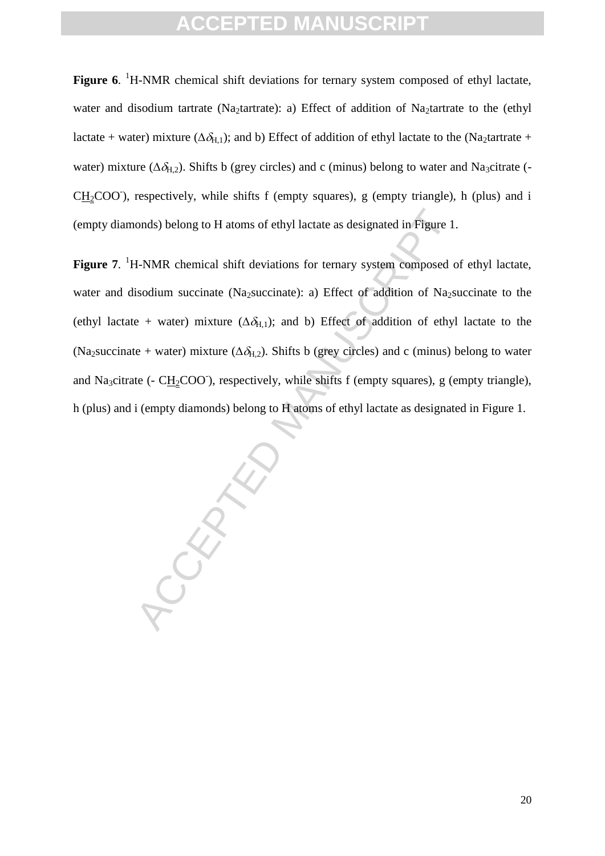Figure 6. <sup>1</sup>H-NMR chemical shift deviations for ternary system composed of ethyl lactate, water and disodium tartrate (Na<sub>2</sub>tartrate): a) Effect of addition of Na<sub>2</sub>tartrate to the (ethyl lactate + water) mixture ( $\Delta \delta_{H,1}$ ); and b) Effect of addition of ethyl lactate to the (Na<sub>2</sub>tartrate + water) mixture ( $\Delta \delta_{H,2}$ ). Shifts b (grey circles) and c (minus) belong to water and Na<sub>3</sub>citrate (- $CH<sub>2</sub>COO$ ), respectively, while shifts f (empty squares), g (empty triangle), h (plus) and i (empty diamonds) belong to H atoms of ethyl lactate as designated in Figure 1.

onds) belong to H atoms of ethyl lactate as designated in Figure 1.<br>
H-NMR chemical shift deviations for ternary system composed c<br>
isodium succinate (Na<sub>2</sub>succinate): a) Effect of addition of Na<sub>2s</sub><br>
e + water) mixture ( Figure 7. <sup>1</sup>H-NMR chemical shift deviations for ternary system composed of ethyl lactate, water and disodium succinate (Na<sub>2</sub>succinate): a) Effect of addition of Na<sub>2</sub>succinate to the (ethyl lactate + water) mixture  $(\Delta \delta_{H,1})$ ; and b) Effect of addition of ethyl lactate to the (Na<sub>2</sub>succinate + water) mixture ( $\Delta \delta_{H2}$ ). Shifts b (grey circles) and c (minus) belong to water and Na<sub>3</sub>citrate (- CH<sub>2</sub>COO<sup>-</sup>), respectively, while shifts f (empty squares), g (empty triangle), h (plus) and i (empty diamonds) belong to H atoms of ethyl lactate as designated in Figure 1.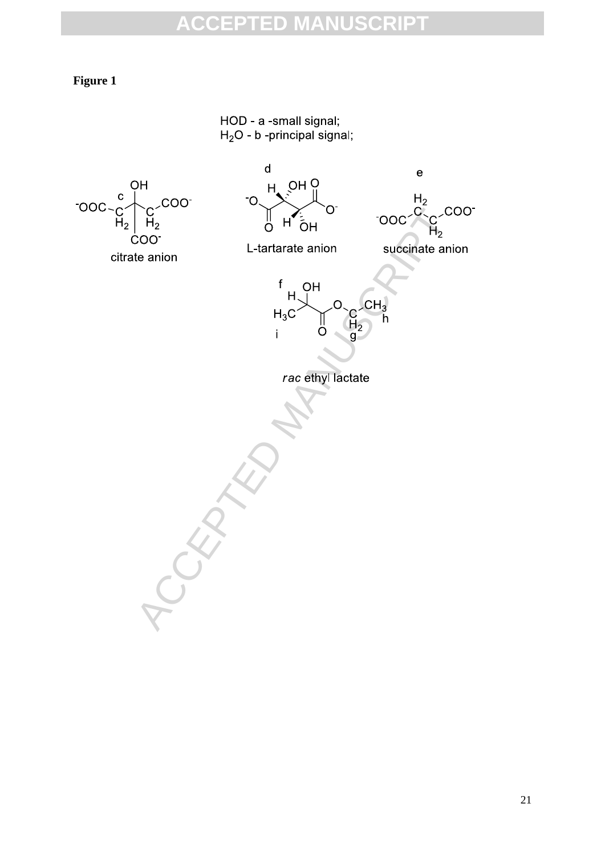#### **Figure 1**

HOD - a -small signal;  $H_2O$  - b -principal signal;

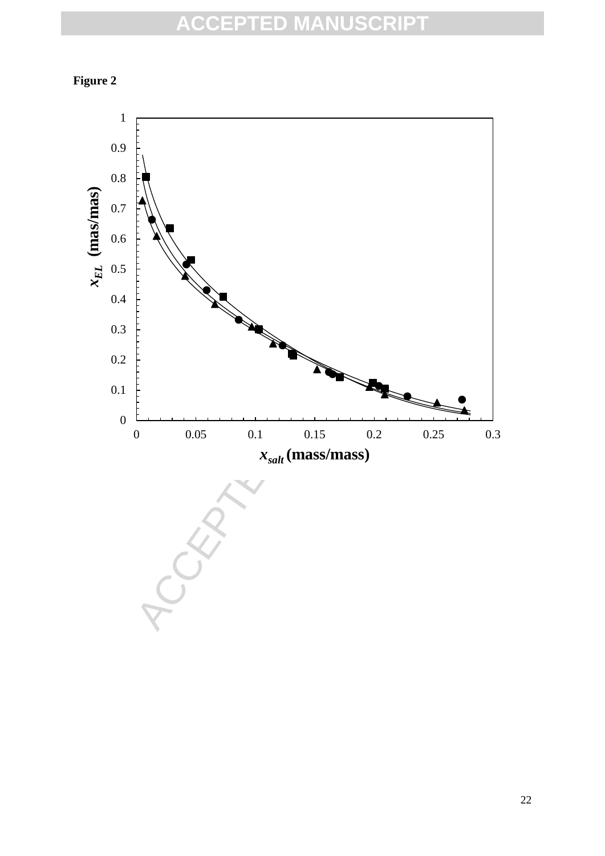

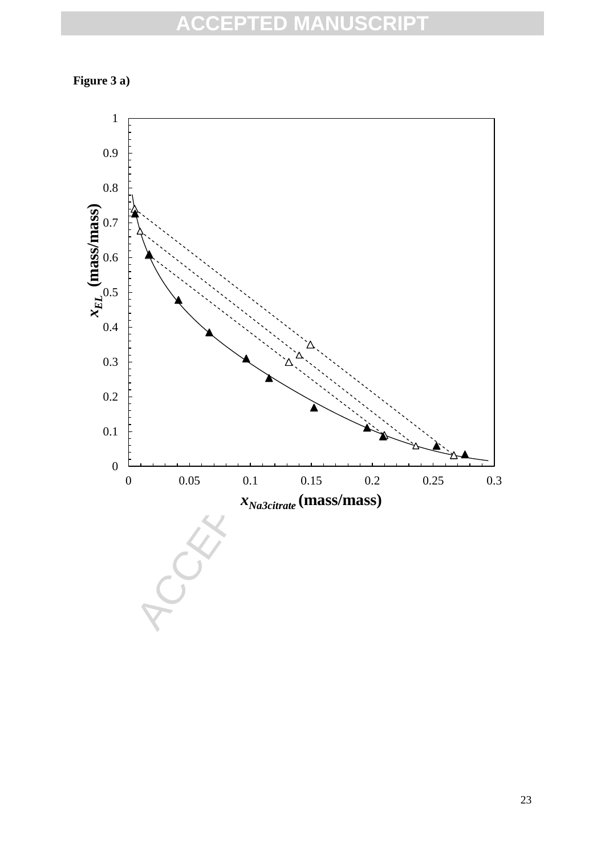

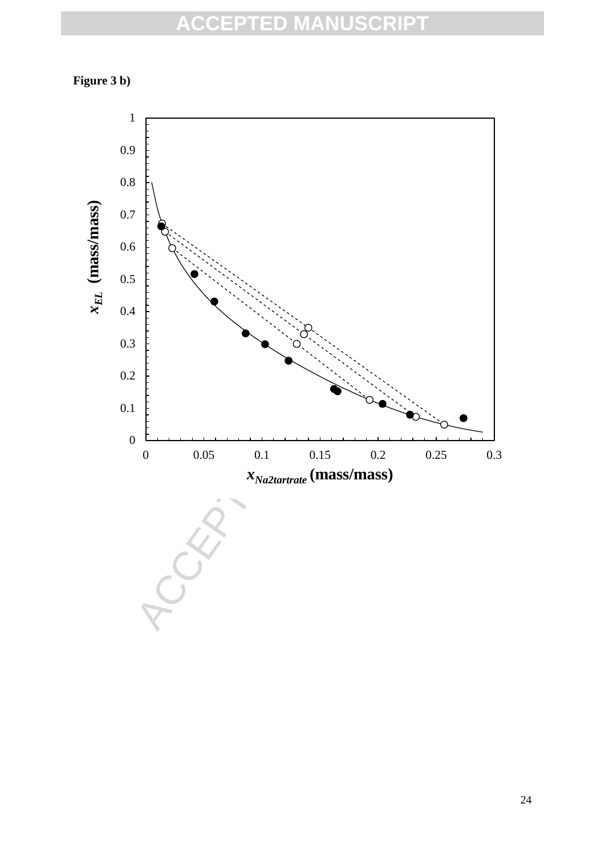

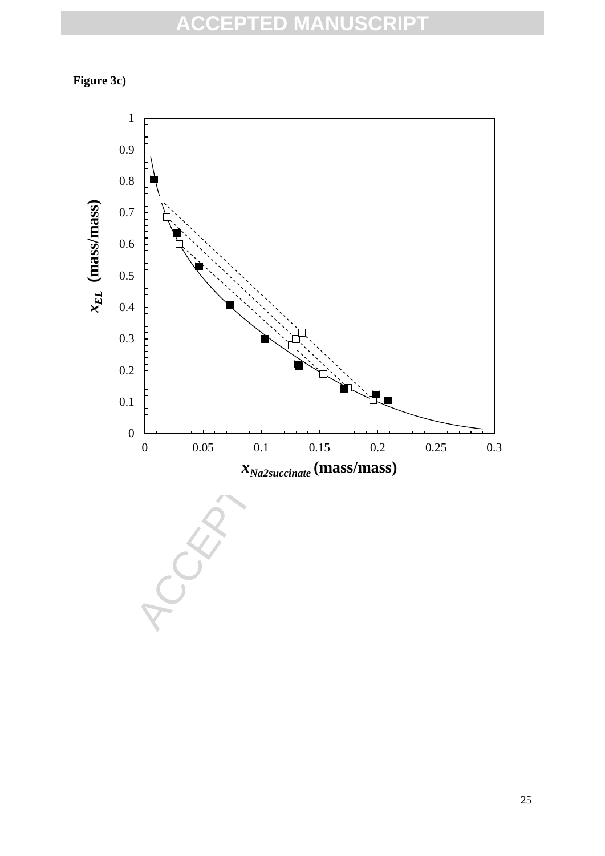

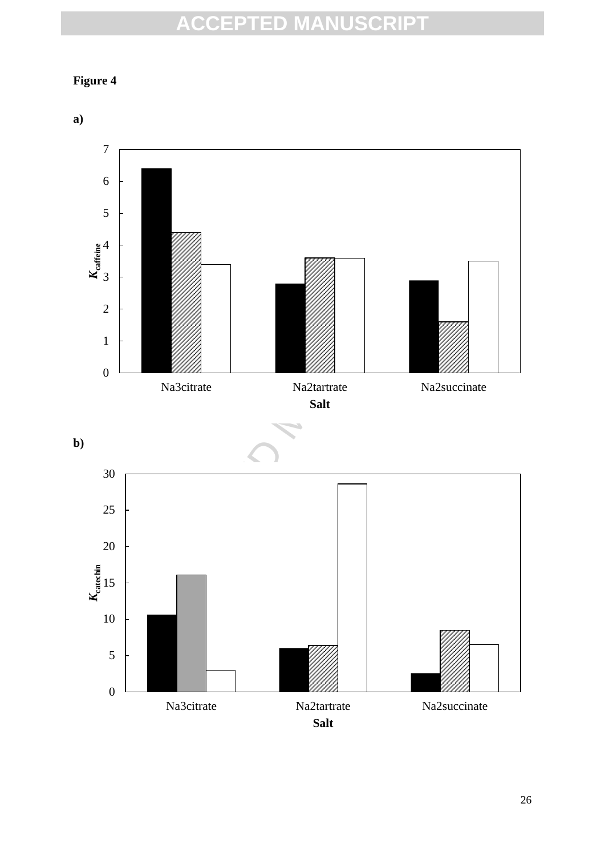### **Figure 4**

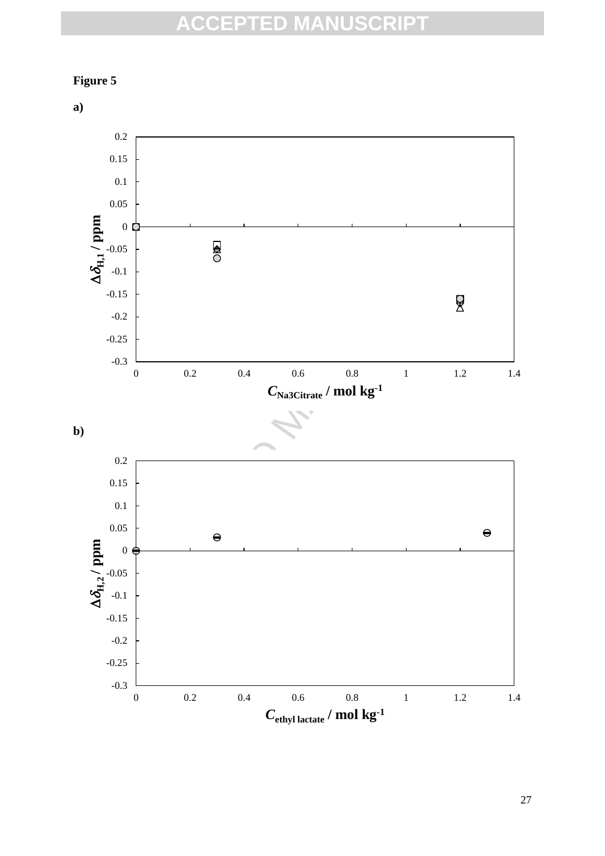

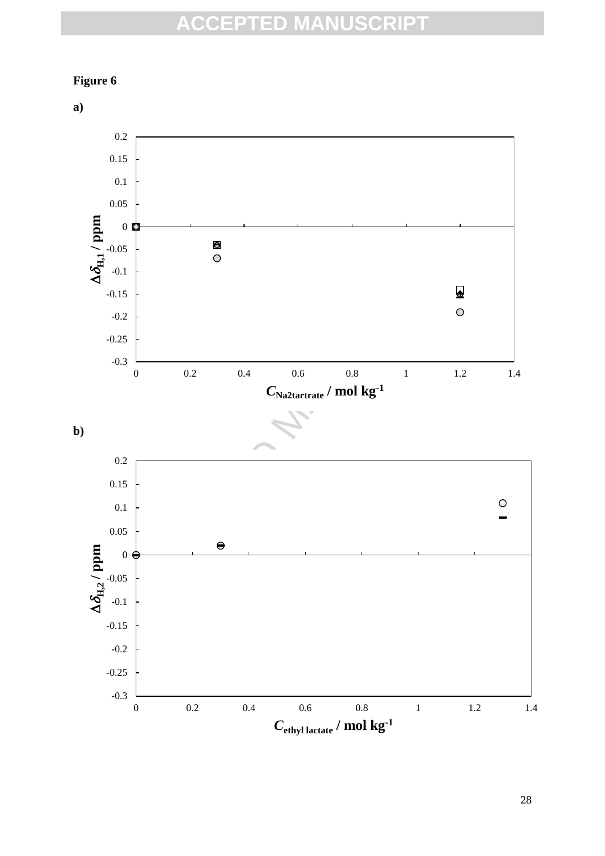

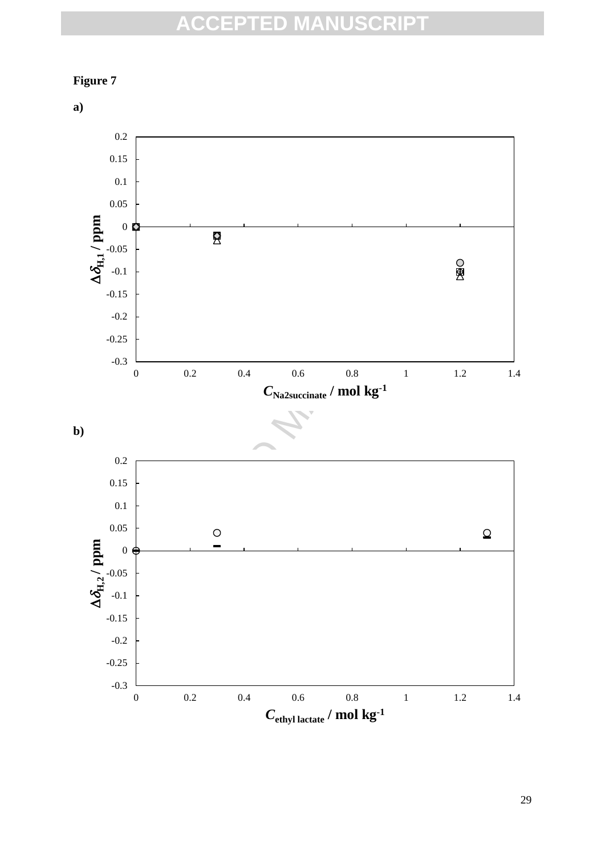

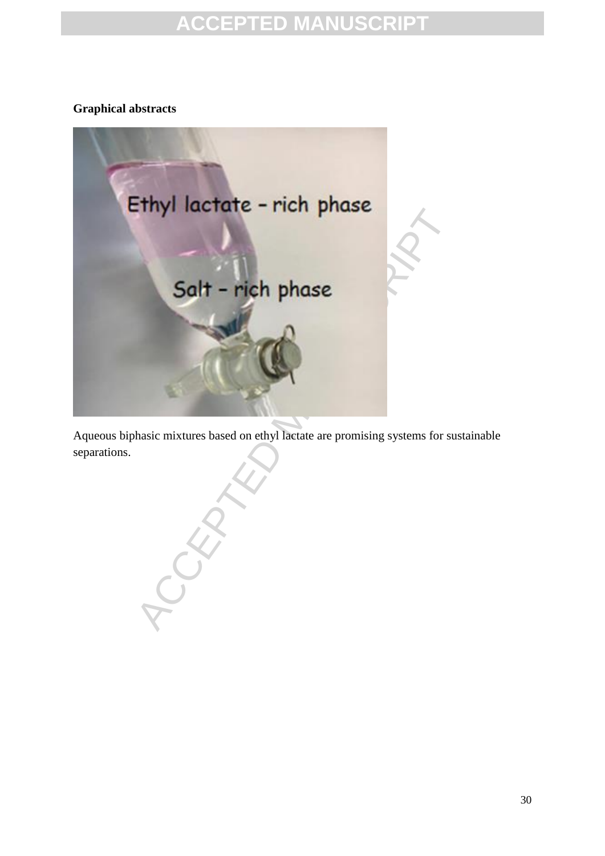#### **Graphical abstracts**



Aqueous biphasic mixtures based on ethyl lactate are promising systems for sustainable separations.

30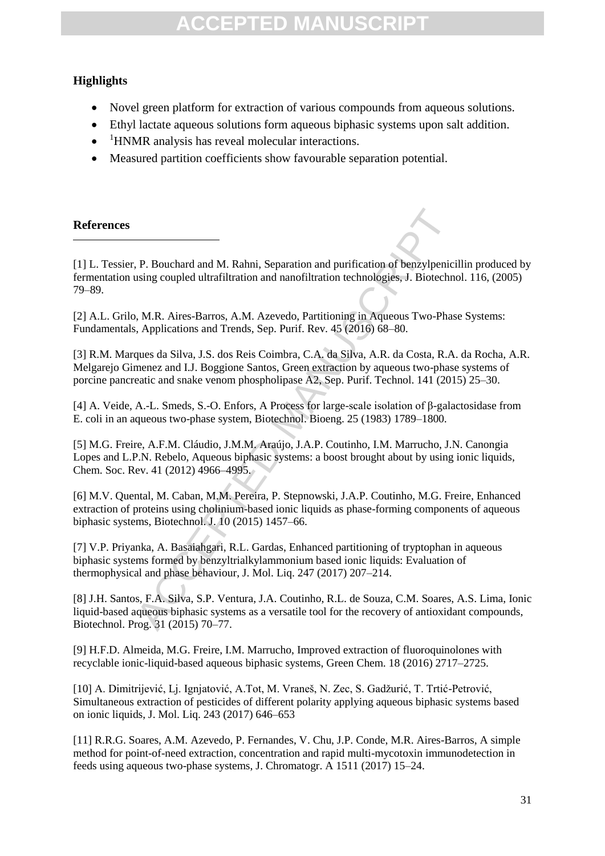#### **Highlights**

- Novel green platform for extraction of various compounds from aqueous solutions.
- Ethyl lactate aqueous solutions form aqueous biphasic systems upon salt addition.
- $\bullet$ <sup>1</sup>HNMR analysis has reveal molecular interactions.
- Measured partition coefficients show favourable separation potential.

#### **References**

1

R. Bouchard and M. Rahni, Separation and purification of benzylpenicising coupled ultrafiltration and nanofiltration technologies, J. Biotechno, A.R. Arens-Barros, A.M. Azevedo, Partitioning in Aqueous Two-Phas, Applicati [1] L. Tessier, P. Bouchard and M. Rahni, Separation and purification of benzylpenicillin produced by fermentation using coupled ultrafiltration and nanofiltration technologies, J. Biotechnol. 116, (2005) 79–89.

[2] A.L. Grilo, M.R. Aires-Barros, A.M. Azevedo, Partitioning in Aqueous Two-Phase Systems: Fundamentals, Applications and Trends, Sep. Purif. Rev. 45 (2016) 68–80.

[3] R.M. Marques da Silva, J.S. dos Reis Coimbra, C.A. da Silva, A.R. da Costa, R.A. da Rocha, A.R. Melgarejo Gimenez and I.J. Boggione Santos, Green extraction by aqueous two-phase systems of porcine pancreatic and snake venom phospholipase A2, Sep. Purif. Technol. 141 (2015) 25–30.

[4] A. Veide, A.-L. Smeds, S.-O. Enfors, A Process for large-scale isolation of β-galactosidase from E. coli in an aqueous two-phase system, Biotechnol. Bioeng. 25 (1983) 1789–1800.

[5] M.G. Freire, A.F.M. Cláudio, J.M.M. Araújo, J.A.P. Coutinho, I.M. Marrucho, J.N. Canongia Lopes and L.P.N. Rebelo, Aqueous biphasic systems: a boost brought about by using ionic liquids, Chem. Soc. Rev. 41 (2012) 4966–4995.

[6] M.V. Quental, M. Caban, M.M. Pereira, P. Stepnowski, J.A.P. Coutinho, M.G. Freire, Enhanced extraction of proteins using cholinium-based ionic liquids as phase-forming components of aqueous biphasic systems, Biotechnol. J. 10 (2015) 1457–66.

[7] V.P. Priyanka, A. Basaiahgari, R.L. Gardas, Enhanced partitioning of tryptophan in aqueous biphasic systems formed by benzyltrialkylammonium based ionic liquids: Evaluation of thermophysical and phase behaviour, J. Mol. Liq. 247 (2017) 207–214.

[8] J.H. Santos, F.A. Silva, S.P. Ventura, J.A. Coutinho, R.L. de Souza, C.M. Soares, A.S. Lima, Ionic liquid-based aqueous biphasic systems as a versatile tool for the recovery of antioxidant compounds, Biotechnol. Prog. 31 (2015) 70–77.

[9] H.F.D. Almeida, M.G. Freire, I.M. Marrucho, Improved extraction of fluoroquinolones with recyclable ionic-liquid-based aqueous biphasic systems, Green Chem. 18 (2016) 2717–2725.

[10] A. Dimitrijević, Lj. Ignjatović, A.Tot, M. Vraneš, N. Zec, S. Gadžurić, T. Trtić-Petrović, Simultaneous extraction of pesticides of different polarity applying aqueous biphasic systems based on ionic liquids, J. Mol. Liq. 243 (2017) 646–653

[11] R.R.G. Soares, A.M. Azevedo, P. Fernandes, V. Chu, J.P. Conde, M.R. Aires-Barros, A simple method for point-of-need extraction, concentration and rapid multi-mycotoxin immunodetection in feeds using aqueous two-phase systems, J. Chromatogr. A 1511 (2017) 15–24.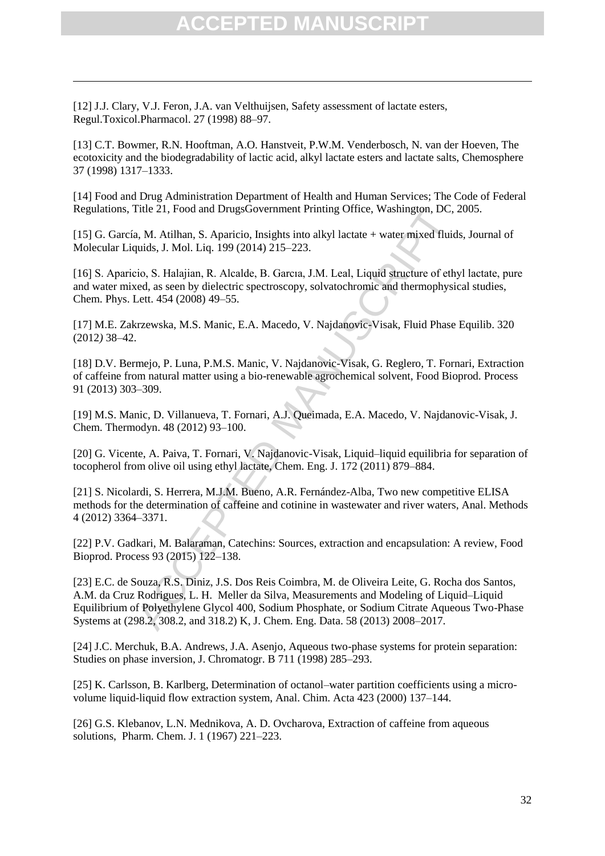[12] J.J. Clary, V.J. Feron, J.A. van Velthuijsen, Safety assessment of lactate esters, Regul.Toxicol.Pharmacol. 27 (1998) 88–97.

1

[13] C.T. Bowmer, R.N. Hooftman, A.O. Hanstveit, P.W.M. Venderbosch, N. van der Hoeven, The ecotoxicity and the biodegradability of lactic acid, alkyl lactate esters and lactate salts, Chemosphere 37 (1998) 1317–1333.

[14] Food and Drug Administration Department of Health and Human Services; The Code of Federal Regulations, Title 21, Food and DrugsGovernment Printing Office, Washington, DC, 2005.

[15] G. García, M. Atilhan, S. Aparicio, Insights into alkyl lactate + water mixed fluids, Journal of Molecular Liquids, J. Mol. Liq. 199 (2014) 215–223.

[16] S. Aparicio, S. Halajian, R. Alcalde, B. Garcıa, J.M. Leal, Liquid structure of ethyl lactate, pure and water mixed, as seen by dielectric spectroscopy, solvatochromic and thermophysical studies, Chem. Phys. Lett. 454 (2008) 49–55.

[17] M.E. Zakrzewska, M.S. Manic, E.A. Macedo, V. Najdanovic-Visak, Fluid Phase Equilib. 320 (2012*)* 38–42.

[18] D.V. Bermejo, P. Luna, P.M.S. Manic, V. Najdanovic-Visak, G. Reglero, T. Fornari, Extraction of caffeine from natural matter using a bio-renewable agrochemical solvent, Food Bioprod. Process 91 (2013) 303–309.

[19] M.S. Manic, D. Villanueva, T. Fornari, A.J. Queimada, E.A. Macedo, V. Najdanovic-Visak, J. Chem. Thermodyn. 48 (2012) 93–100.

[20] G. Vicente, A. Paiva, T. Fornari, V. Najdanovic-Visak, Liquid–liquid equilibria for separation of tocopherol from olive oil using ethyl lactate, Chem. Eng. J. 172 (2011) 879–884.

[21] S. Nicolardi, S. Herrera, M.J.M. Bueno, A.R. Fernández-Alba, Two new competitive ELISA methods for the determination of caffeine and cotinine in wastewater and river waters, Anal. Methods 4 (2012) 3364–3371.

[22] P.V. Gadkari, M. Balaraman, Catechins: Sources, extraction and encapsulation: A review, Food Bioprod. Process 93 (2015) 122–138.

11tle 21, Pood and DrugsGovernment Printing Office, Washington, DC,<br>
a, M. Atilhan, S. Aparicio, Insights into alkyl lactate + water mixed fluid<br>
quids, J. Mol. Liq. 199 (2014) 215–223.<br>
Etio, S. Halajian, R. Alealde, B. G [23] E.C. de Souza, R.S. Diniz, J.S. Dos Reis Coimbra, M. de Oliveira Leite, G. Rocha dos Santos, A.M. da Cruz Rodrigues, L. H. Meller da Silva, Measurements and Modeling of Liquid–Liquid Equilibrium of Polyethylene Glycol 400, Sodium Phosphate, or Sodium Citrate Aqueous Two-Phase Systems at (298.2, 308.2, and 318.2) K, J. Chem. Eng. Data. 58 (2013) 2008–2017.

[24] J.C. Merchuk, B.A. Andrews, J.A. Asenjo, Aqueous two-phase systems for protein separation: Studies on phase inversion, J. Chromatogr. B 711 (1998) 285–293.

[25] K. Carlsson, B. Karlberg, Determination of octanol–water partition coefficients using a microvolume liquid-liquid flow extraction system, Anal. Chim. Acta 423 (2000) 137–144.

[26] G.S. Klebanov, L.N. Mednikova, A. D. Ovcharova, Extraction of caffeine from aqueous solutions, Pharm. Chem. J. 1 (1967) 221–223.